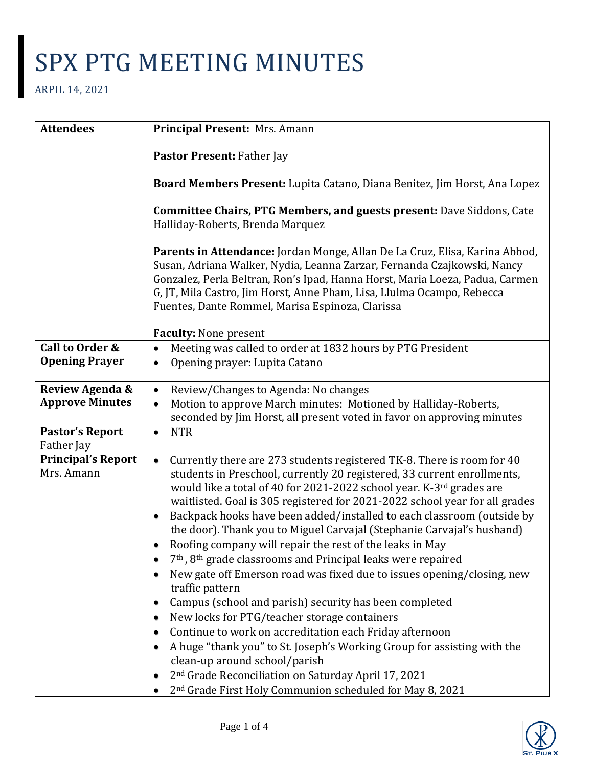| <b>Attendees</b>                         | Principal Present: Mrs. Amann                                                                                                                                                                                                                                                                                                                                                                                                                                                                                                                                                                                                                                                                                                                                                                                                                                                                                                                                                                                                                                                                                                                                       |
|------------------------------------------|---------------------------------------------------------------------------------------------------------------------------------------------------------------------------------------------------------------------------------------------------------------------------------------------------------------------------------------------------------------------------------------------------------------------------------------------------------------------------------------------------------------------------------------------------------------------------------------------------------------------------------------------------------------------------------------------------------------------------------------------------------------------------------------------------------------------------------------------------------------------------------------------------------------------------------------------------------------------------------------------------------------------------------------------------------------------------------------------------------------------------------------------------------------------|
|                                          | Pastor Present: Father Jay                                                                                                                                                                                                                                                                                                                                                                                                                                                                                                                                                                                                                                                                                                                                                                                                                                                                                                                                                                                                                                                                                                                                          |
|                                          | Board Members Present: Lupita Catano, Diana Benitez, Jim Horst, Ana Lopez                                                                                                                                                                                                                                                                                                                                                                                                                                                                                                                                                                                                                                                                                                                                                                                                                                                                                                                                                                                                                                                                                           |
|                                          | <b>Committee Chairs, PTG Members, and guests present: Dave Siddons, Cate</b><br>Halliday-Roberts, Brenda Marquez                                                                                                                                                                                                                                                                                                                                                                                                                                                                                                                                                                                                                                                                                                                                                                                                                                                                                                                                                                                                                                                    |
|                                          | Parents in Attendance: Jordan Monge, Allan De La Cruz, Elisa, Karina Abbod,<br>Susan, Adriana Walker, Nydia, Leanna Zarzar, Fernanda Czajkowski, Nancy<br>Gonzalez, Perla Beltran, Ron's Ipad, Hanna Horst, Maria Loeza, Padua, Carmen<br>G, JT, Mila Castro, Jim Horst, Anne Pham, Lisa, Llulma Ocampo, Rebecca<br>Fuentes, Dante Rommel, Marisa Espinoza, Clarissa                                                                                                                                                                                                                                                                                                                                                                                                                                                                                                                                                                                                                                                                                                                                                                                                |
|                                          | <b>Faculty: None present</b>                                                                                                                                                                                                                                                                                                                                                                                                                                                                                                                                                                                                                                                                                                                                                                                                                                                                                                                                                                                                                                                                                                                                        |
| Call to Order &<br><b>Opening Prayer</b> | Meeting was called to order at 1832 hours by PTG President<br>$\bullet$<br>Opening prayer: Lupita Catano<br>٠                                                                                                                                                                                                                                                                                                                                                                                                                                                                                                                                                                                                                                                                                                                                                                                                                                                                                                                                                                                                                                                       |
| Review Agenda &                          | Review/Changes to Agenda: No changes<br>$\bullet$                                                                                                                                                                                                                                                                                                                                                                                                                                                                                                                                                                                                                                                                                                                                                                                                                                                                                                                                                                                                                                                                                                                   |
| <b>Approve Minutes</b>                   | Motion to approve March minutes: Motioned by Halliday-Roberts,<br>seconded by Jim Horst, all present voted in favor on approving minutes                                                                                                                                                                                                                                                                                                                                                                                                                                                                                                                                                                                                                                                                                                                                                                                                                                                                                                                                                                                                                            |
| <b>Pastor's Report</b><br>Father Jay     | <b>NTR</b><br>$\bullet$                                                                                                                                                                                                                                                                                                                                                                                                                                                                                                                                                                                                                                                                                                                                                                                                                                                                                                                                                                                                                                                                                                                                             |
| <b>Principal's Report</b><br>Mrs. Amann  | Currently there are 273 students registered TK-8. There is room for 40<br>$\bullet$<br>students in Preschool, currently 20 registered, 33 current enrollments,<br>would like a total of 40 for 2021-2022 school year. K-3rd grades are<br>waitlisted. Goal is 305 registered for 2021-2022 school year for all grades<br>Backpack hooks have been added/installed to each classroom (outside by<br>$\bullet$<br>the door). Thank you to Miguel Carvajal (Stephanie Carvajal's husband)<br>Roofing company will repair the rest of the leaks in May<br>7 <sup>th</sup> , 8 <sup>th</sup> grade classrooms and Principal leaks were repaired<br>New gate off Emerson road was fixed due to issues opening/closing, new<br>traffic pattern<br>Campus (school and parish) security has been completed<br>New locks for PTG/teacher storage containers<br>Continue to work on accreditation each Friday afternoon<br>A huge "thank you" to St. Joseph's Working Group for assisting with the<br>clean-up around school/parish<br>2 <sup>nd</sup> Grade Reconciliation on Saturday April 17, 2021<br>2 <sup>nd</sup> Grade First Holy Communion scheduled for May 8, 2021 |

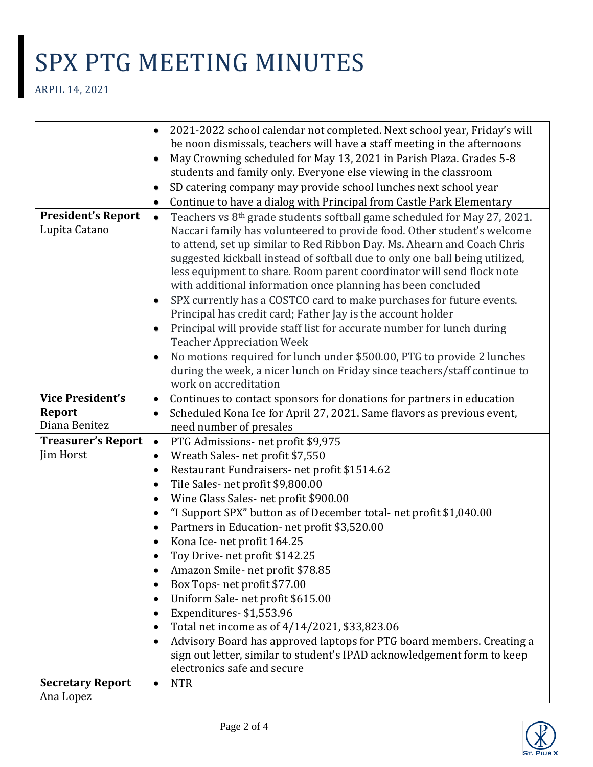|                           | 2021-2022 school calendar not completed. Next school year, Friday's will<br>$\bullet$             |
|---------------------------|---------------------------------------------------------------------------------------------------|
|                           | be noon dismissals, teachers will have a staff meeting in the afternoons                          |
|                           | May Crowning scheduled for May 13, 2021 in Parish Plaza. Grades 5-8<br>٠                          |
|                           | students and family only. Everyone else viewing in the classroom                                  |
|                           | SD catering company may provide school lunches next school year<br>٠                              |
|                           | Continue to have a dialog with Principal from Castle Park Elementary<br>٠                         |
| <b>President's Report</b> | Teachers vs 8 <sup>th</sup> grade students softball game scheduled for May 27, 2021.<br>$\bullet$ |
| Lupita Catano             | Naccari family has volunteered to provide food. Other student's welcome                           |
|                           | to attend, set up similar to Red Ribbon Day. Ms. Ahearn and Coach Chris                           |
|                           | suggested kickball instead of softball due to only one ball being utilized,                       |
|                           | less equipment to share. Room parent coordinator will send flock note                             |
|                           | with additional information once planning has been concluded                                      |
|                           | SPX currently has a COSTCO card to make purchases for future events.<br>$\bullet$                 |
|                           | Principal has credit card; Father Jay is the account holder                                       |
|                           | Principal will provide staff list for accurate number for lunch during<br>$\bullet$               |
|                           | <b>Teacher Appreciation Week</b>                                                                  |
|                           | No motions required for lunch under \$500.00, PTG to provide 2 lunches<br>$\bullet$               |
|                           | during the week, a nicer lunch on Friday since teachers/staff continue to                         |
|                           | work on accreditation                                                                             |
| <b>Vice President's</b>   | Continues to contact sponsors for donations for partners in education<br>$\bullet$                |
| <b>Report</b>             | Scheduled Kona Ice for April 27, 2021. Same flavors as previous event,<br>$\bullet$               |
| Diana Benitez             | need number of presales                                                                           |
| <b>Treasurer's Report</b> | PTG Admissions- net profit \$9,975<br>$\bullet$                                                   |
| Jim Horst                 | Wreath Sales-net profit \$7,550<br>$\bullet$                                                      |
|                           | Restaurant Fundraisers- net profit \$1514.62<br>$\bullet$                                         |
|                           | Tile Sales- net profit \$9,800.00<br>$\bullet$                                                    |
|                           | Wine Glass Sales- net profit \$900.00<br>$\bullet$                                                |
|                           | "I Support SPX" button as of December total- net profit \$1,040.00<br>$\bullet$                   |
|                           | Partners in Education- net profit \$3,520.00                                                      |
|                           | Kona Ice- net profit 164.25                                                                       |
|                           | Toy Drive- net profit \$142.25                                                                    |
|                           | Amazon Smile- net profit \$78.85                                                                  |
|                           | Box Tops- net profit \$77.00<br>$\bullet$                                                         |
|                           | Uniform Sale-net profit \$615.00                                                                  |
|                           | Expenditures-\$1,553.96<br>$\bullet$                                                              |
|                           | Total net income as of 4/14/2021, \$33,823.06<br>٠                                                |
|                           | Advisory Board has approved laptops for PTG board members. Creating a<br>$\bullet$                |
|                           | sign out letter, similar to student's IPAD acknowledgement form to keep                           |
|                           | electronics safe and secure                                                                       |
| <b>Secretary Report</b>   | <b>NTR</b><br>$\bullet$                                                                           |
| Ana Lopez                 |                                                                                                   |

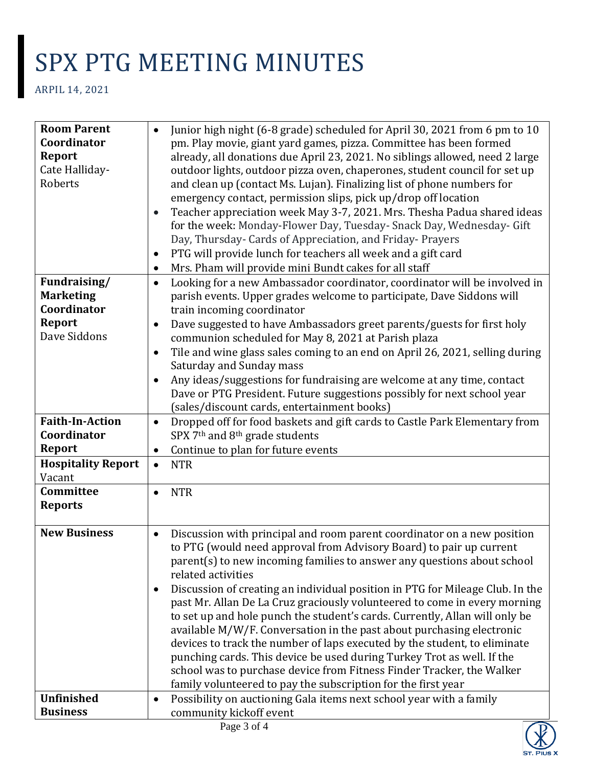| <b>Room Parent</b>        | Junior high night (6-8 grade) scheduled for April 30, 2021 from 6 pm to 10<br>$\bullet$    |
|---------------------------|--------------------------------------------------------------------------------------------|
| Coordinator               | pm. Play movie, giant yard games, pizza. Committee has been formed                         |
| <b>Report</b>             | already, all donations due April 23, 2021. No siblings allowed, need 2 large               |
| Cate Halliday-            | outdoor lights, outdoor pizza oven, chaperones, student council for set up                 |
| Roberts                   | and clean up (contact Ms. Lujan). Finalizing list of phone numbers for                     |
|                           | emergency contact, permission slips, pick up/drop off location                             |
|                           | Teacher appreciation week May 3-7, 2021. Mrs. Thesha Padua shared ideas<br>$\bullet$       |
|                           | for the week: Monday-Flower Day, Tuesday- Snack Day, Wednesday- Gift                       |
|                           | Day, Thursday- Cards of Appreciation, and Friday- Prayers                                  |
|                           | PTG will provide lunch for teachers all week and a gift card<br>٠                          |
|                           | Mrs. Pham will provide mini Bundt cakes for all staff<br>٠                                 |
| Fundraising/              | Looking for a new Ambassador coordinator, coordinator will be involved in<br>$\bullet$     |
| <b>Marketing</b>          | parish events. Upper grades welcome to participate, Dave Siddons will                      |
| Coordinator               | train incoming coordinator                                                                 |
| <b>Report</b>             | Dave suggested to have Ambassadors greet parents/guests for first holy<br>$\bullet$        |
| Dave Siddons              | communion scheduled for May 8, 2021 at Parish plaza                                        |
|                           | Tile and wine glass sales coming to an end on April 26, 2021, selling during<br>٠          |
|                           | Saturday and Sunday mass                                                                   |
|                           | Any ideas/suggestions for fundraising are welcome at any time, contact<br>$\bullet$        |
|                           | Dave or PTG President. Future suggestions possibly for next school year                    |
|                           | (sales/discount cards, entertainment books)                                                |
| <b>Faith-In-Action</b>    | Dropped off for food baskets and gift cards to Castle Park Elementary from<br>$\bullet$    |
| Coordinator               | SPX 7 <sup>th</sup> and 8 <sup>th</sup> grade students                                     |
| <b>Report</b>             | Continue to plan for future events<br>$\bullet$                                            |
| <b>Hospitality Report</b> | <b>NTR</b><br>$\bullet$                                                                    |
| Vacant                    |                                                                                            |
| Committee                 | <b>NTR</b><br>$\bullet$                                                                    |
| <b>Reports</b>            |                                                                                            |
|                           |                                                                                            |
| <b>New Business</b>       | Discussion with principal and room parent coordinator on a new position<br>$\bullet$       |
|                           | to PTG (would need approval from Advisory Board) to pair up current                        |
|                           | parent(s) to new incoming families to answer any questions about school                    |
|                           | related activities                                                                         |
|                           | Discussion of creating an individual position in PTG for Mileage Club. In the<br>$\bullet$ |
|                           | past Mr. Allan De La Cruz graciously volunteered to come in every morning                  |
|                           | to set up and hole punch the student's cards. Currently, Allan will only be                |
|                           | available M/W/F. Conversation in the past about purchasing electronic                      |
|                           | devices to track the number of laps executed by the student, to eliminate                  |
|                           | punching cards. This device be used during Turkey Trot as well. If the                     |
|                           | school was to purchase device from Fitness Finder Tracker, the Walker                      |
|                           | family volunteered to pay the subscription for the first year                              |
| <b>Unfinished</b>         | Possibility on auctioning Gala items next school year with a family<br>$\bullet$           |
| <b>Business</b>           | community kickoff event                                                                    |
|                           | $\mathbf{p}_{\alpha\alpha\alpha}$ 3 of 4                                                   |